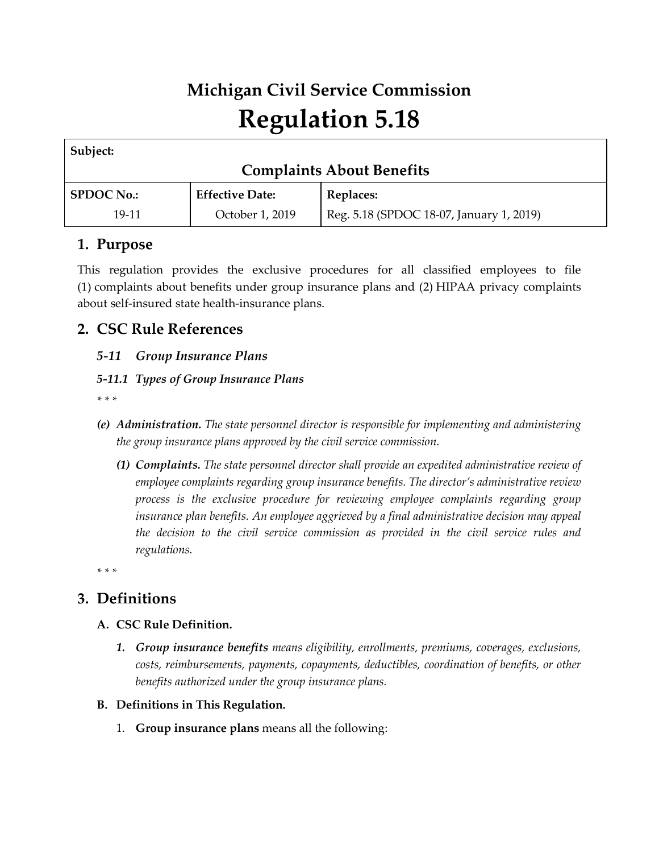# **Michigan Civil Service Commission Regulation 5.18**

| Subject:                         |                        |                                          |  |
|----------------------------------|------------------------|------------------------------------------|--|
| <b>Complaints About Benefits</b> |                        |                                          |  |
| <b>SPDOC No.:</b>                | <b>Effective Date:</b> | Replaces:                                |  |
| 19-11                            | October 1, 2019        | Reg. 5.18 (SPDOC 18-07, January 1, 2019) |  |

## **1. Purpose**

This regulation provides the exclusive procedures for all classified employees to file (1) complaints about benefits under group insurance plans and (2) HIPAA privacy complaints about self-insured state health-insurance plans.

## **2. CSC Rule References**

## *5-11 Group Insurance Plans*

## *5-11.1 Types of Group Insurance Plans*

*\* \* \**

- *(e) Administration. The state personnel director is responsible for implementing and administering the group insurance plans approved by the civil service commission.*
	- *(1) Complaints. The state personnel director shall provide an expedited administrative review of employee complaints regarding group insurance benefits. The director's administrative review process is the exclusive procedure for reviewing employee complaints regarding group insurance plan benefits. An employee aggrieved by a final administrative decision may appeal the decision to the civil service commission as provided in the civil service rules and regulations.*

*\* \* \**

# **3. Definitions**

#### **A. CSC Rule Definition.**

- *1. Group insurance benefits means eligibility, enrollments, premiums, coverages, exclusions, costs, reimbursements, payments, copayments, deductibles, coordination of benefits, or other benefits authorized under the group insurance plans.*
- **B. Definitions in This Regulation.**
	- 1. **Group insurance plans** means all the following: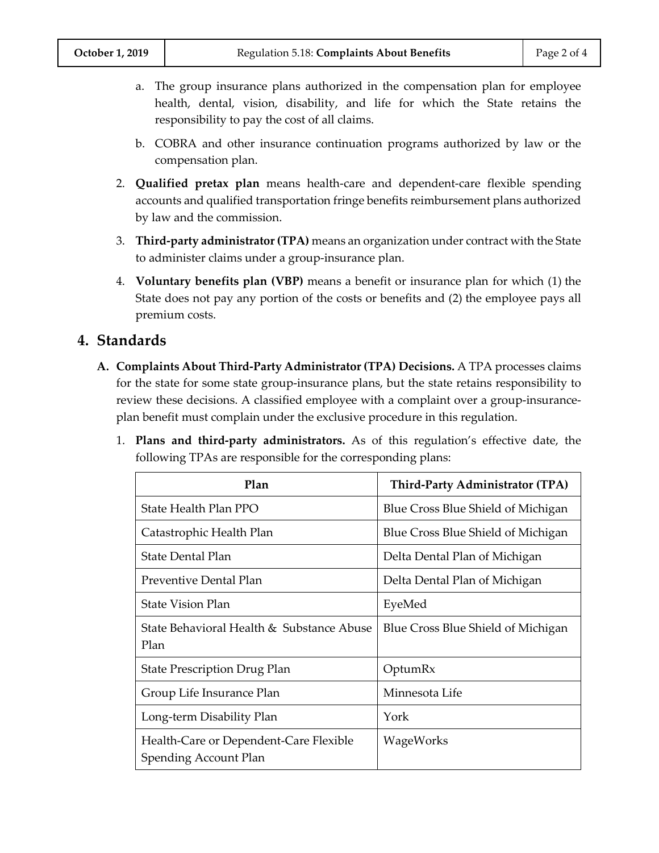- a. The group insurance plans authorized in the compensation plan for employee health, dental, vision, disability, and life for which the State retains the responsibility to pay the cost of all claims.
- b. COBRA and other insurance continuation programs authorized by law or the compensation plan.
- 2. **Qualified pretax plan** means health-care and dependent-care flexible spending accounts and qualified transportation fringe benefits reimbursement plans authorized by law and the commission.
- 3. **Third-party administrator (TPA)** means an organization under contract with the State to administer claims under a group-insurance plan.
- 4. **Voluntary benefits plan (VBP)** means a benefit or insurance plan for which (1) the State does not pay any portion of the costs or benefits and (2) the employee pays all premium costs.

## **4. Standards**

- **A. Complaints About Third-Party Administrator (TPA) Decisions.** A TPA processes claims for the state for some state group-insurance plans, but the state retains responsibility to review these decisions. A classified employee with a complaint over a group-insuranceplan benefit must complain under the exclusive procedure in this regulation.
	- 1. **Plans and third-party administrators.** As of this regulation's effective date, the following TPAs are responsible for the corresponding plans:

| Plan                                                                   | <b>Third-Party Administrator (TPA)</b> |
|------------------------------------------------------------------------|----------------------------------------|
| <b>State Health Plan PPO</b>                                           | Blue Cross Blue Shield of Michigan     |
| Catastrophic Health Plan                                               | Blue Cross Blue Shield of Michigan     |
| <b>State Dental Plan</b>                                               | Delta Dental Plan of Michigan          |
| Preventive Dental Plan                                                 | Delta Dental Plan of Michigan          |
| <b>State Vision Plan</b>                                               | EyeMed                                 |
| State Behavioral Health & Substance Abuse<br>Plan                      | Blue Cross Blue Shield of Michigan     |
| <b>State Prescription Drug Plan</b>                                    | OptumRx                                |
| Group Life Insurance Plan                                              | Minnesota Life                         |
| Long-term Disability Plan                                              | York                                   |
| Health-Care or Dependent-Care Flexible<br><b>Spending Account Plan</b> | WageWorks                              |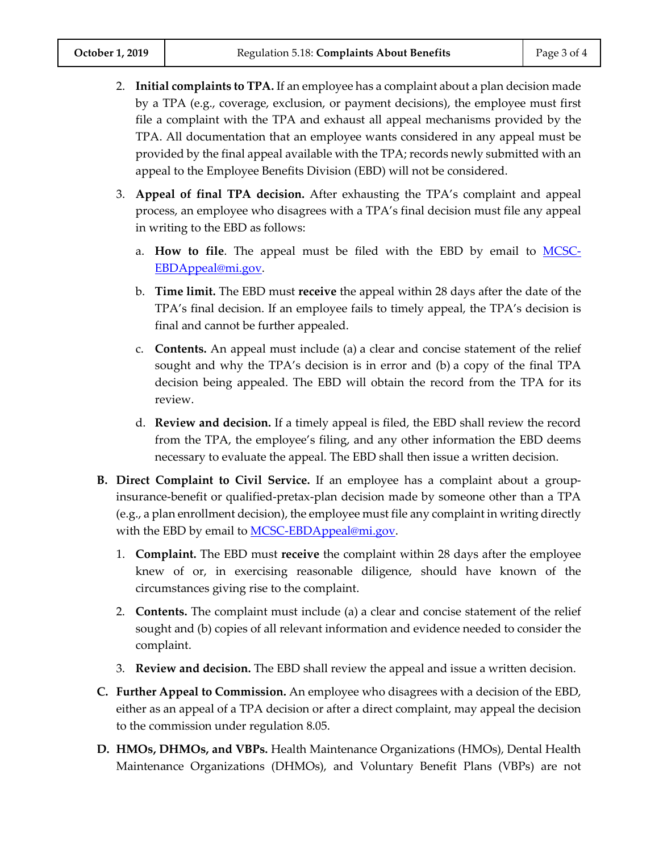- 2. **Initial complaints to TPA.** If an employee has a complaint about a plan decision made by a TPA (e.g., coverage, exclusion, or payment decisions), the employee must first file a complaint with the TPA and exhaust all appeal mechanisms provided by the TPA. All documentation that an employee wants considered in any appeal must be provided by the final appeal available with the TPA; records newly submitted with an appeal to the Employee Benefits Division (EBD) will not be considered.
- 3. **Appeal of final TPA decision.** After exhausting the TPA's complaint and appeal process, an employee who disagrees with a TPA's final decision must file any appeal in writing to the EBD as follows:
	- a. **How to file**. The appeal must be filed with the EBD by email to [MCSC-](mailto:MCSC-EBDAppeal@mi.gov)[EBDAppeal@mi.gov.](mailto:MCSC-EBDAppeal@mi.gov)
	- b. **Time limit.** The EBD must **receive** the appeal within 28 days after the date of the TPA's final decision. If an employee fails to timely appeal, the TPA's decision is final and cannot be further appealed.
	- c. **Contents.** An appeal must include (a) a clear and concise statement of the relief sought and why the TPA's decision is in error and (b) a copy of the final TPA decision being appealed. The EBD will obtain the record from the TPA for its review.
	- d. **Review and decision.** If a timely appeal is filed, the EBD shall review the record from the TPA, the employee's filing, and any other information the EBD deems necessary to evaluate the appeal. The EBD shall then issue a written decision.
- **B. Direct Complaint to Civil Service.** If an employee has a complaint about a groupinsurance-benefit or qualified-pretax-plan decision made by someone other than a TPA (e.g., a plan enrollment decision), the employee must file any complaint in writing directly with the EBD by email to **MCSC-EBDAppeal@mi.gov.** 
	- 1. **Complaint.** The EBD must **receive** the complaint within 28 days after the employee knew of or, in exercising reasonable diligence, should have known of the circumstances giving rise to the complaint.
	- 2. **Contents.** The complaint must include (a) a clear and concise statement of the relief sought and (b) copies of all relevant information and evidence needed to consider the complaint.
	- 3. **Review and decision.** The EBD shall review the appeal and issue a written decision.
- **C. Further Appeal to Commission.** An employee who disagrees with a decision of the EBD, either as an appeal of a TPA decision or after a direct complaint, may appeal the decision to the commission under regulation 8.05.
- **D. HMOs, DHMOs, and VBPs.** Health Maintenance Organizations (HMOs), Dental Health Maintenance Organizations (DHMOs), and Voluntary Benefit Plans (VBPs) are not